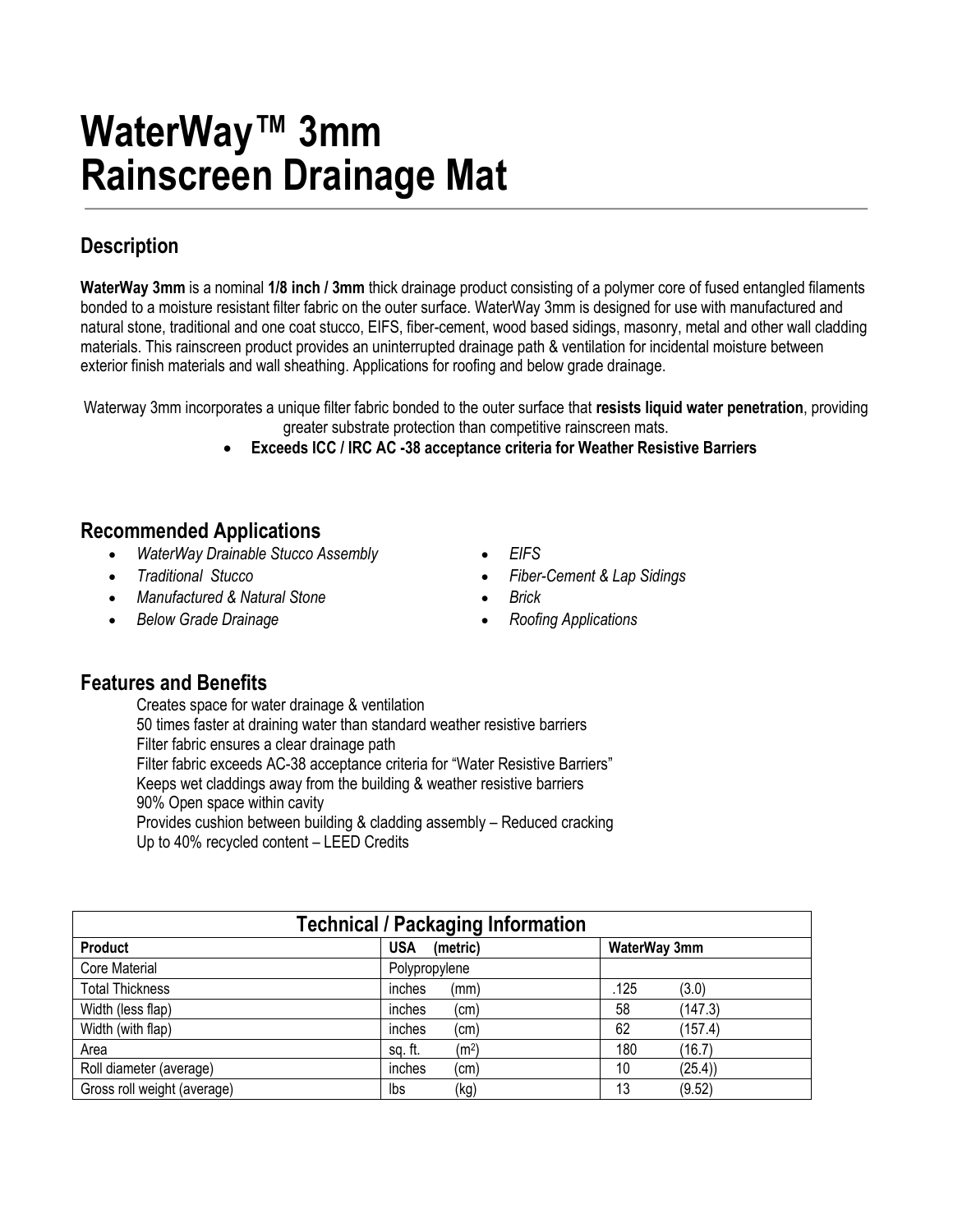# **WaterWay™ 3mm Rainscreen Drainage Mat**

## **Description**

**WaterWay 3mm** is a nominal **1/8 inch / 3mm** thick drainage product consisting of a polymer core of fused entangled filaments bonded to a moisture resistant filter fabric on the outer surface. WaterWay 3mm is designed for use with manufactured and natural stone, traditional and one coat stucco, EIFS, fiber-cement, wood based sidings, masonry, metal and other wall cladding materials. This rainscreen product provides an uninterrupted drainage path & ventilation for incidental moisture between exterior finish materials and wall sheathing. Applications for roofing and below grade drainage.

Waterway 3mm incorporates a unique filter fabric bonded to the outer surface that **resists liquid water penetration**, providing greater substrate protection than competitive rainscreen mats.

**Exceeds ICC / IRC AC -38 acceptance criteria for Weather Resistive Barriers**

### **Recommended Applications**

- *WaterWay Drainable Stucco Assembly EIFS*
- 
- *Manufactured & Natural Stone*
- *Below Grade Drainage*
- 
- *Traditional Stucco Fiber-Cement & Lap Sidings*
	- *Brick*
	- *Roofing Applications*

### **Features and Benefits**

Creates space for water drainage & ventilation 50 times faster at draining water than standard weather resistive barriers Filter fabric ensures a clear drainage path Filter fabric exceeds AC-38 acceptance criteria for "Water Resistive Barriers" Keeps wet claddings away from the building & weather resistive barriers 90% Open space within cavity Provides cushion between building & cladding assembly – Reduced cracking Up to 40% recycled content – LEED Credits

| <b>Technical / Packaging Information</b> |                              |               |  |  |  |
|------------------------------------------|------------------------------|---------------|--|--|--|
| Product                                  | <b>USA</b><br>(metric)       | WaterWay 3mm  |  |  |  |
| Core Material                            | Polypropylene                |               |  |  |  |
| <b>Total Thickness</b>                   | inches<br>(mm)               | .125<br>(3.0) |  |  |  |
| Width (less flap)                        | inches<br>(cm)               | 58<br>(147.3) |  |  |  |
| Width (with flap)                        | inches<br>(cm)               | 62<br>(157.4) |  |  |  |
| Area                                     | (m <sup>2</sup> )<br>sq. ft. | 180<br>(16.7) |  |  |  |
| Roll diameter (average)                  | inches<br>(cm)               | 10<br>(25.4)  |  |  |  |
| Gross roll weight (average)              | lbs<br>(kg)                  | 13<br>(9.52)  |  |  |  |